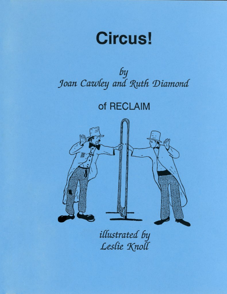### **Circus!**

# by<br>Joan Cawley and Ruth Diamond

of RECLAIM



illustrated by<br>Leslie Knoll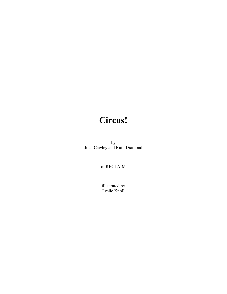## **Circus!**

by Joan Cawley and Ruth Diamond

of RECLAIM

illustrated by Leslie Knoll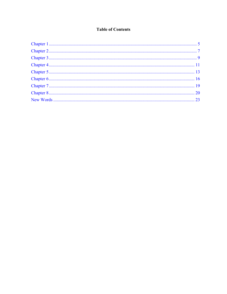#### **Table of Contents**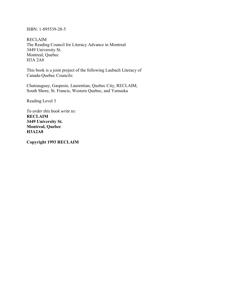ISBN: 1-895539-28-5

RECLAIM The Reading Council for Literacy Advance in Montreal 3449 University St. Montreal, Quebec H3A 2A8

This book is a joint project of the following Laubach Literacy of Canada-Quebec Councils:

Chateauguay, Gaspesie, Laurentian, Quebec City, RECLAIM, South Shore, St. Francis, Western Quebec, and Yamaska

Reading Level 3

*To order this book write to:*  **RECLAIM 3449 University St. Montreal, Quebec H3A2A8**

**Copyright 1993 RECLAIM**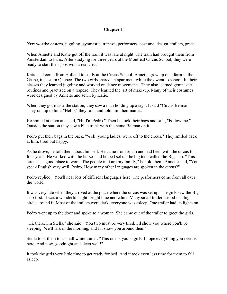<span id="page-5-0"></span>**New words:** eastern, juggling, gymnastic, trapeze, performers, costume, design, trailers, greet.

When Annette and Katie got off the train it was late at night. The train had brought them from Amsterdam to Paris. After studying for three years at the Montreal Circus School, they were ready to start their jobs with a real circus.

Katie had come from Holland to study at the Circus School. Annette grew up on a farm in the Gaspe, in eastern Quebec. The two girls shared an apartment while they went to school. In their classes they learned juggling and worked on dance movements. They also learned gymnastic routines and practised on a trapeze. They learned the art of make-up. Many of their costumes were designed by Annette and sewn by Katie.

When they got inside the station, they saw a man holding up a sign. It said "Circus Belman." They ran up to him. "Hello," they said, and told him their names.

He smiled at them and said, "Hi, I'm Pedro." Then he took their bags and said, "Follow me." Outside the station they saw a blue truck with the name Belman on it.

Pedro put their bags in the back. ''Well, young ladies, we're off to the circus." They smiled back at him, tired but happy.

As he drove, he told them about himself. He came from Spain and had been with the circus for four years. He worked with the horses and helped set up the big tent, called the Big Top. "This circus is a good place to work. The people in it are my family," he told them. Annette said, ''You speak English very well, Pedro. How many other languages are spoken in the circus?"

Pedro replied, ''You'll hear lots of different languages here. The performers come from all over the world."

It was very late when they arrived at the place where the circus was set up. The girls saw the Big Top first. It was a wonderful sight–bright blue and white. Many small trailers stood in a big circle around it. Most of the trailers were dark; everyone was asleep. One trailer had its lights on.

Pedro went up to the door and spoke to a woman. She came out of the trailer to greet the girls.

"Hi, there. I'm Stella," she said. ''You two must be very tired. I'll show you where you'll be sleeping. We'll talk in the morning, and I'll show you around then."

Stella took them to a small white trailer. "This one is yours, girls. I hope everything you need is here. And now, goodnight and sleep well!"

It took the girls very little time to get ready for bed. And it took even less time for them to fall asleep.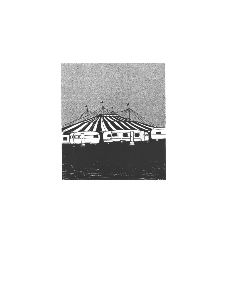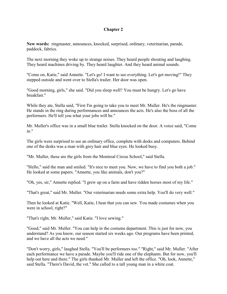<span id="page-7-0"></span>**New words:** ringmaster, announces, knocked, surprised, ordinary, veterinarian, parade, paddock, fabrics.

The next morning they woke up to strange noises. They heard people shouting and laughing. They heard machines driving by. They heard laughter. And they heard animal sounds.

"Come on, Katie," said Annette. "Let's go! I want to see everything. Let's get moving!" They stepped outside and went over to Stella's trailer. Her door was open.

"Good morning, girls," she said. "Did you sleep well? You must be hungry. Let's go have breakfast."

While they ate, Stella said, "First I'm going to take you to meet Mr. Muller. He's the ringmaster. He stands in the ring during performances and announces the acts. He's also the boss of all the performers. He'll tell you what your jobs will be."

Mr. Muller's office was in a small blue trailer. Stella knocked on the door. A voice said, "Come in."

The girls were surprised to see an ordinary office, complete with desks and computers. Behind one of the desks was a man with grey hair and blue eyes. He looked busy.

"Mr. Muller, these are the girls from the Montreal Circus School," said Stella.

"Hello," said the man and smiled. "It's nice to meet you. Now, we have to find you both a job." He looked at some papers. "Annette, you like animals, don't you?"

"Oh, yes, sir," Annette replied. "I grew up on a farm and have ridden horses most of my life."

"That's great," said Mr. Muller. "Our veterinarian needs some extra help. You'll do very well."

Then he looked at Katie. ''Well, Katie, I hear that you can sew. You made costumes when you were in school, right?"

"That's right, Mr. Muller," said Katie. "I love sewing."

"Good," said Mr. Muller. "You can help in the costume department. This is just for now, you understand? As you know, our season started six weeks ago. Our programs have been printed, and we have all the acts we need."

"Don't worry, girls," laughed Stella. "You'll be performers too." "Right," said Mr. Muller. "After each performance we have a parade. Maybe you'll ride one of the elephants. But for now, you'll help out here and there." The girls thanked Mr. Muller and left the office. "Oh, look, Annette," said Stella. "There's David, the vet." She called to a tall young man in a white coat.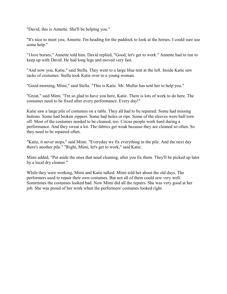"David, this is Annette. She'll be helping you."

"It's nice to meet you, Annette. I'm heading for the paddock to look at the horses. I could sure use some help."

"1love horses," Annette told him. David replied, "Good, let's get to work." Annette had to run to keep up with David. He had long legs and moved very fast.

"And now you, Katie," said Stella. They went to a large blue tent at the left. Inside Katie saw racks of costumes. Stella took Katie over to a young woman.

"Good morning, Mimi," said Stella. "This is Katie. Mr. Muller has sent her to help you."

"Great," said Mimi. "I'm so glad to have you here, Katie. There is lots of work to do here. The costumes need to be fixed after every performance. Every day!"

Katie saw a large pile of costumes on a table. They all had to be repaired. Some had missing buttons. Some had broken zippers. Some had holes or rips. Some of the sleeves were half torn off. Most of the costumes needed to be cleaned, too. Circus people work hard during a performance. And they sweat a lot. The fabrics get weak because they are cleaned so often. So they need to be repaired often.

"Katie, it never stops," said Mimi. "Everyday we fix everything in the pile. And the next day there's another pile." "Right, Mimi, let's get to work," said Katie.

Mimi added, "Put aside the ones that need cleaning, after you fix them. They'll be picked up later by a local dry cleaner."

While they were working, Mimi and Katie talked. Mimi told her about the old days. The performers used to repair their own costumes. But not all of them could sew very well. Sometimes the costumes looked bad. Now Mimi did all the repairs. She was very good at her job. She was proud of her work when the performers' costumes looked right.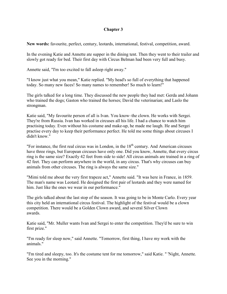<span id="page-9-0"></span>**New words:** favourite, perfect, century, leotards, international, festival, competition, award.

In the evening Katie and Annette ate supper in the dining tent. Then they went to their trailer and slowly got ready for bed. Their first day with Circus Belman had been very full and busy.

Annette said, "I'm too excited to fall asleep right away."

"I know just what you mean," Katie replied. "My head's so full of everything that happened today. So many new faces! So many names to remember! So much to learn!"

The girls talked for a long time. They discussed the new people they had met: Gerda and Johann who trained the dogs; Gaston who trained the horses; David the veterinarian; and Laslo the strongman.

Katie said, "My favourite person of all is Ivan. You know–the clown. He works with Sergei. They're from Russia. Ivan has worked in circuses all his life. I had a chance to watch him practising today. Even without his costume and make-up, he made me laugh. He and Sergei practise every day to keep their performance perfect. He told me some things about circuses I didn't know."

"For instance, the first real circus was in London, in the  $18<sup>th</sup>$  century. And American circuses have three rings, but European circuses have only one. Did you know, Annette, that every circus ring is the same size? Exactly 42 feet from side to side! All circus animals are trained in a ring of 42 feet. They can perform anywhere in the world, in any circus. That's why circuses can buy animals from other circuses. The ring is always the same size."

"Mimi told me about the very first trapeze act," Annette said. "It was here in France, in 1859. The man's name was Leotard. He designed the first pair of leotards and they were named for him. Just like the ones we wear in our performance."

The girls talked about the last stop of the season. It was going to be in Monte Carlo. Every year this city held an international circus festival. The highlight of the festival would be a clown competition. There would be a Golden Clown award, and several Silver Clown awards.

Katie said, "Mr. Muller wants Ivan and Sergei to enter the competition. They'd be sure to win first prize."

"I'm ready for sleep now," said Annette. "Tomorrow, first thing, I have my work with the animals."

"I'm tired and sleepy, too. It's the costume tent for me tomorrow," said Katie. " 'Night, Annette. See you in the morning."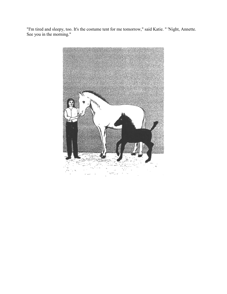"I'm tired and sleepy, too. It's the costume tent for me tomorrow," said Katie. " 'Night, Annette. See you in the morning."

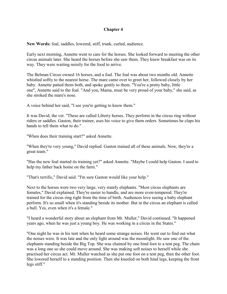<span id="page-11-0"></span>**New Words:** foal, saddles, lowered, stiff, trunk, curled, audience.

Early next morning, Annette went to care for the horses. She looked forward to meeting the other circus animals later. She heard the horses before she saw them. They knew breakfast was on its way. They were waiting noisily for the food to arrive.

The Belman Circus owned 16 horses, and a foal. The foal was about two months old. Annette whistled softly to the nearest horse. The mare came over to greet her, followed closely by her baby. Annette patted them both, and spoke gently to them. "You're a pretty baby, little one", Annette said to the foal. "And you, Mama, must be very proud of your baby," she said, as she stroked the mare's nose.

A voice behind her said, "I see you're getting to know them."

It was David, the vet. "These are called Liberty horses. They perform in the circus ring without riders or saddles. Gaston, their trainer, uses his voice to give them orders. Sometimes he claps his hands to tell them what to do."

''When does their training start?" asked Annette.

''When they're very young," David replied. Gaston trained all of these animals. Now, they're a great team."

"Has the new foal started its training yet?" asked Annette. "Maybe I could help Gaston. I used to help my father back home on the farm."

"That's terrific," David said. "I'm sure Gaston would like your help."

Next to the horses were two very large, very stately elephants. "Most circus elephants are females," David explained. They're easier to handle, and are more even-tempered. They're trained for the circus ring right from the time of birth. Audiences love seeing a baby elephant perform. It's so small when it's standing beside its mother. But in the circus an elephant is called a bull. Yes, even when it's a female."

"I heard a wonderful story about an elephant from Mr. Muller," David continued. "It happened years ago, when he was just a young boy. He was working in a circus in the States."

"One night he was in his tent when he heard some strange noises. He went out to find out what the noises were. It was late and the only light around was the moonlight. He saw one of the elephants standing beside the Big Top. She was chained by one hind foot to a tent peg. The chain was a long one so she could move around. She was making soft noises to herself while she practised her circus act. Mr. Muller watched as she put one foot on a tent peg, then the other foot. She lowered herself to a standing position. Then she kneeled on both hind legs, keeping the front legs stiff."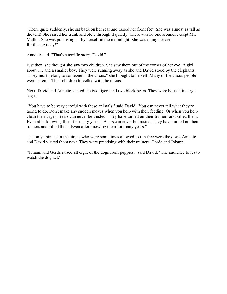"Then, quite suddenly, she sat back on her rear and raised her front feet. She was almost as tall as the tent! She raised her trunk and blew through it quietly. There was no one around, except Mr. Muller. She was practising all by herself in the moonlight. She was doing her act for the next day!"

Annette said, "That's a terrific story, David."

Just then, she thought she saw two children. She saw them out of the corner of her eye. A girl about 11, and a smaller boy. They were running away as she and David stood by the elephants. "They must belong to someone in the circus," she thought to herself. Many of the circus people were parents. Their children travelled with the circus.

Next, David and Annette visited the two tigers and two black bears. They were housed in large cages.

"You have to be very careful with these animals," said David. 'You can never tell what they're going to do. Don't make any sudden moves when you help with their feeding. Or when you help clean their cages. Bears can never be trusted. They have turned on their trainers and killed them. Even after knowing them for many years." Bears can never be trusted. They have turned on their trainers and killed them. Even after knowing them for many years."

The only animals in the circus who were sometimes allowed to run free were the dogs. Annette and David visited them next. They were practising with their trainers, Gerda and Johann.

"Johann and Gerda raised all eight of the dogs from puppies," said David. "The audience loves to watch the dog act."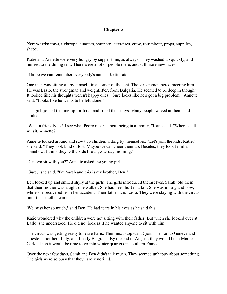<span id="page-13-0"></span>**New words:** trays, tightrope, quarters, southern, exercises, crew, roustabout, props, supplies, shape.

Katie and Annette were very hungry by supper time, as always. They washed up quickly, and hurried to the dining tent. There were a lot of people there, and still more new faces.

"I hope we can remember everybody's name," Katie said.

One man was sitting all by himself, in a corner of the tent. The girls remembered meeting him. He was Laslo, the strongman and weightlifter, from Bulgaria. He seemed to be deep in thought. It looked like his thoughts weren't happy ones. "Sure looks like he's got a big problem," Annette said. "Looks like he wants to be left alone."

The girls joined the line-up for food, and filled their trays. Many people waved at them, and smiled.

''What a friendly lot! I see what Pedro means about being in a family, "Katie said. ''Where shall we sit, Annette?"

Annette looked around and saw two children sitting by themselves. "Let's join the kids, Katie," she said. "They look kind of lost. Maybe we can cheer them up. Besides, they look familiar somehow. I think they're the kids I saw yesterday morning."

"Can we sit with you?" Annette asked the young girl.

"Sure," she said. "I'm Sarah and this is my brother, Ben."

Ben looked up and smiled shyly at the girls. The girls introduced themselves. Sarah told them that their mother was a tightrope walker. She had been hurt in a fall. She was in England now, while she recovered from her accident. Their father was Laslo. They were staying with the circus until their mother came back.

'We miss her so much," said Ben. He had tears in his eyes as he said this.

Katie wondered why the children were not sitting with their father. But when she looked over at Laslo, she understood. He did not look as if he wanted anyone to sit with him.

The circus was getting ready to leave Paris. Their next stop was Dijon. Then on to Geneva and Trieste in northern Italy, and finally Belgrade. By the end of August, they would be in Monte Carlo. Then it would be time to go into winter quarters in southern France.

Over the next few days, Sarah and Ben didn't talk much. They seemed unhappy about something. The girls were so busy that they hardly noticed.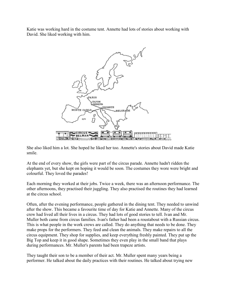Katie was working hard in the costume tent. Annette had lots of stories about working with David. She liked working with him.



She also liked him a lot. She hoped he liked her too. Annette's stories about David made Katie smile.

At the end of every show, the girls were part of the circus parade. Annette hadn't ridden the elephants yet, but she kept on hoping it would be soon. The costumes they wore were bright and colourful. They loved the parades!

Each morning they worked at their jobs. Twice a week, there was an afternoon performance. The other afternoons, they practised their juggling. They also practised the routines they had learned at the circus school.

Often, after the evening performance, people gathered in the dining tent. They needed to unwind after the show. This became a favourite time of day for Katie and Annette. Many of the circus crew had lived all their lives in a circus. They had lots of good stories to tell. Ivan and Mr. Muller both came from circus families. Ivan's father had been a roustabout with a Russian circus. This is what people in the work crews are called. They do anything that needs to be done. They make props for the performers. They feed and clean the animals. They make repairs to all the circus equipment. They shop for supplies, and keep everything freshly painted. They put up the Big Top and keep it in good shape. Sometimes they even play in the small band that plays during performances. Mr. Muller's parents had been trapeze artists.

They taught their son to be a member of their act. Mr. Muller spent many years being a performer. He talked about the daily practices with their routines. He talked about trying new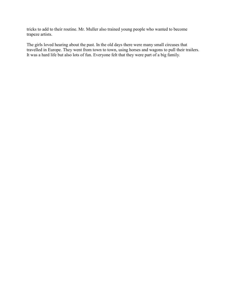tricks to add to their routine. Mr. Muller also trained young people who wanted to become trapeze artists.

The girls loved hearing about the past. In the old days there were many small circuses that travelled in Europe. They went from town to town, using horses and wagons to pull their trailers. It was a hard life but also lots of fun. Everyone felt that they were part of a big family.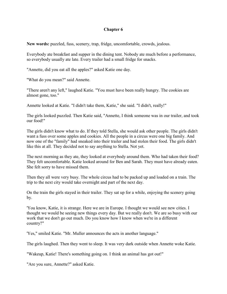<span id="page-16-0"></span>**New words:** puzzled, fuss, scenery, trap, fridge, uncomfortable, crowds, jealous.

Everybody ate breakfast and supper in the dining tent. Nobody ate much before a performance, so everybody usually ate late. Every trailer had a small fridge for snacks.

"Annette, did you eat all the apples?" asked Katie one day.

''What do you mean?" said Annette.

"There aren't any left," laughed Katie. "You must have been really hungry. The cookies are almost gone, too."

Annette looked at Katie. "I didn't take them, Katie," she said. "I didn't, really!"

The girls looked puzzled. Then Katie said, "Annette, I think someone was in our trailer, and took our food!"

The girls didn't know what to do. If they told Stella, she would ask other people. The girls didn't want a fuss over some apples and cookies. All the people in a circus were one big family. And now one of the "family" had sneaked into their trailer and had stolen their food. The girls didn't like this at all. They decided not to say anything to Stella. Not yet.

The next morning as they ate, they looked at everybody around them. Who had taken their food? They felt uncomfortable. Katie looked around for Ben and Sarah. They must have already eaten. She felt sorry to have missed them.

Then they all were very busy. The whole circus had to be packed up and loaded on a train. The trip to the next city would take overnight and part of the next day.

On the train the girls stayed in their trailer. They sat up for a while, enjoying the scenery going by.

'You know, Katie, it is strange. Here we are in Europe. I thought we would see new cities. I thought we would be seeing new things every day. But we really don't. We are so busy with our work that we don't go out much. Do you know how I know when we're in a different country?"

'Yes," smiled Katie. "Mr. Muller announces the acts in another language."

The girls laughed. Then they went to sleep. It was very dark outside when Annette woke Katie.

"Wakeup, Katie! There's something going on. I think an animal has got out!"

"Are you sure, Annette?" asked Katie.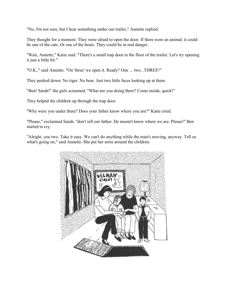"No, I'm not sure, but I hear something under our trailer," Annette replied.

They thought for a moment. They were afraid to open the door. If there were an animal, it could be one of the cats. Or one of the bears. They could be in real danger.

''Wait, Annette," Katie said. "There's a small trap door in the floor of the trailer. Let's try opening it just a little bit."

"O.K.," said Annette. "On 'three' we open it. Ready? One ... two...THREE!"

They peeked down. No tiger. No bear. Just two little faces looking up at them.

"Ben! Sarah!" the girls screamed. ''What are you doing there? Come inside, quick!"

They helped the children up through the trap door.

''Why were you under there? Does your father know where you are?" Katie cried.

"Please," exclaimed Sarah, "don't tell our father. He mustn't know where we are. Please!" Ben started to cry.

"Alright, you two. Take it easy. We can't do anything while the train's moving, anyway. Tell us what's going on," said Annette. She put her arms around the children.

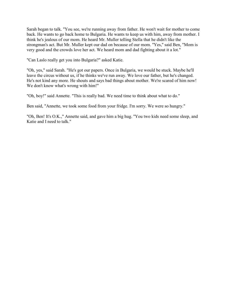Sarah began to talk. ''You see, we're running away from father. He won't wait for mother to come back. He wants to go back home to Bulgaria. He wants to keep us with him, away from mother. I think he's jealous of our mom. He heard Mr. Muller telling Stella that he didn't like the strongman's act. But Mr. Muller kept our dad on because of our mom. ''Yes,'' said Ben, "Mom is very good and the crowds love her act. We heard mom and dad fighting about it a lot."

"Can Laslo really get you into Bulgaria?" asked Katie.

"Oh, yes," said Sarah. "He's got our papers. Once in Bulgaria, we would be stuck. Maybe he'll leave the circus without us, if he thinks we've run away. We love our father, but he's changed. He's not kind any more. He shouts and says bad things about mother. We're scared of him now! We don't know what's wrong with him!"

"Oh, boy!" said Annette. "This is really bad. We need time to think about what to do."

Ben said, "Annette, we took some food from your fridge. I'm sorry. We were so hungry."

"Oh, Ben! It's O.K.," Annette said, and gave him a big hug. ''You two kids need some sleep, and Katie and I need to talk."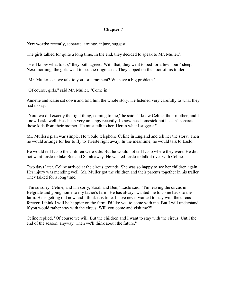<span id="page-19-0"></span>**New words:** recently, separate, arrange, injury, suggest.

The girls talked for quite a long time. In the end, they decided to speak to Mr. Muller.\

"He'll know what to do," they both agreed. With that, they went to bed for a few hours' sleep. Next morning, the girls went to see the ringmaster. They tapped on the door of his trailer.

"Mr. Muller, can we talk to you for a moment? We have a big problem."

"Of course, girls," said Mr. Muller, "Come in."

Annette and Katie sat down and told him the whole story. He listened very carefully to what they had to say.

"You two did exactly the right thing, coming to me," he said. "I know Celine, their mother, and I know Laslo well. He's been very unhappy recently. I know he's homesick but he can't separate those kids from their mother. He must talk to her. Here's what I suggest."

Mr. Muller's plan was simple. He would telephone Celine in England and tell her the story. Then he would arrange for her to fly to Trieste right away. In the meantime, he would talk to Laslo.

He would tell Laslo the children were safe. But he would not tell Laslo where they were. He did not want Laslo to take Ben and Sarah away. He wanted Laslo to talk it over with Celine.

Two days later, Celine arrived at the circus grounds. She was so happy to see her children again. Her injury was mending well. Mr. Muller got the children and their parents together in his trailer. They talked for a long time.

"I'm so sorry, Celine, and I'm sorry, Sarah and Ben," Laslo said. "I'm leaving the circus in Belgrade and going home to my father's farm. He has always wanted me to come back to the farm. He is getting old now and I think it is time. I have never wanted to stay with the circus forever. I think I will be happier on the farm. I'd like you to come with me. But I will understand if you would rather stay with the circus. Will you come and visit me?"

Celine replied, "Of course we will. But the children and I want to stay with the circus. Until the end of the season, anyway. Then we'll think about the future."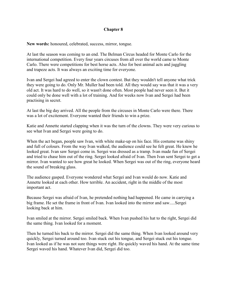<span id="page-20-0"></span>**New words:** honoured, celebrated, success, mirror, tongue.

At last the season was coming to an end. The Belman Circus headed for Monte Carlo for the international competition. Every four years circuses from all over the world came to Monte Carlo. There were competitions for best horse acts. Also for best animal acts and juggling and trapeze acts. It was always an exciting time for everyone.

Ivan and Sergei had agreed to enter the clown contest. But they wouldn't tell anyone what trick they were going to do. Only Mr. Muller had been told. All they would say was that it was a very old act. It was hard to do well, so it wasn't done often. Most people had never seen it. But it could only be done well with a lot of training. And for weeks now Ivan and Sergei had been practising in secret.

At last the big day arrived. All the people from the circuses in Monte Carlo were there. There was a lot of excitement. Everyone wanted their friends to win a prize.

Katie and Annette started clapping when it was the turn of the clowns. They were very curious to see what Ivan and Sergei were going to do.

When the act began, people saw Ivan, with white make-up on his face. His costume was shiny and full of colours. From the way Ivan walked, the audience could see he felt great. He knew he looked great. Ivan saw Sergei come in. Sergei was dressed as a tramp. Ivan made fun of Sergei and tried to chase him out of the ring. Sergei looked afraid of Ivan. Then Ivan sent Sergei to get a mirror. Ivan wanted to see how great he looked. When Sergei was out of the ring, everyone heard the sound of breaking glass.

The audience gasped. Everyone wondered what Sergei and Ivan would do now. Katie and Annette looked at each other. How terrible. An accident, right in the middle of the most important act.

Because Sergei was afraid of Ivan, he pretended nothing had happened. He came in carrying a big frame. He set the frame in front of Ivan. Ivan looked into the mirror and saw.....Sergei looking back at him.

Ivan smiled at the mirror. Sergei smiled back. When Ivan pushed his hat to the right, Sergei did the same thing. Ivan looked for a moment.

Then he turned his back to the mirror. Sergei did the same thing. When Ivan looked around very quickly, Sergei turned around too. Ivan stuck out his tongue, and Sergei stuck out his tongue. Ivan looked as if he was not sure things were right. He quickly waved his hand. At the same time Sergei waved his hand. Whatever Ivan did, Sergei did too.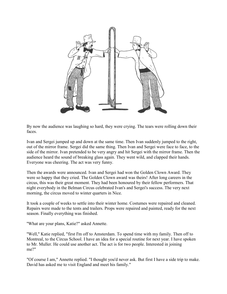

By now the audience was laughing so hard, they were crying. The tears were rolling down their faces.

Ivan and Sergei jumped up and down at the same time. Then Ivan suddenly jumped to the right, out of the mirror frame. Sergei did the same thing. Then Ivan and Sergei were face to face, to the side of the mirror. Ivan pretended to be very angry and hit Sergei with the mirror frame. Then the audience heard the sound of breaking glass again. They went wild, and clapped their hands. Everyone was cheering. The act was very funny.

Then the awards were announced. Ivan and Sergei had won the Golden Clown Award. They were so happy that they cried. The Golden Clown award was theirs! After long careers in the circus, this was their great moment. They had been honoured by their fellow performers. That night everybody in the Belman Circus celebrated Ivan's and Sergei's success. The very next morning, the circus moved to winter quarters in Nice.

It took a couple of weeks to settle into their winter home. Costumes were repaired and cleaned. Repairs were made to the tents and trailers. Props were repaired and painted, ready for the next season. Finally everything was finished.

''What are your plans, Katie?" asked Annette.

''Well,'' Katie replied, "first I'm off to Amsterdam. To spend time with my family. Then off to Montreal, to the Circus School. I have an idea for a special routine for next year. I have spoken to Mr. Muller. He could use another act. The act is for two people. Interested in joining me?"

"Of course I am," Annette replied. "I thought you'd never ask. But first I have a side trip to make. David has asked me to visit England and meet his family."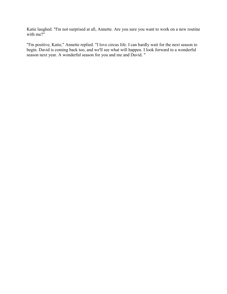Katie laughed. "I'm not surprised at all, Annette. Are you sure you want to work on a new routine with me?"

"I'm positive, Katie," Annette replied. "I love circus life. I can hardly wait for the next season to begin. David is coming back too, and we'll see what will happen. I look forward to a wonderful season next year. A wonderful season for you and me and David. "